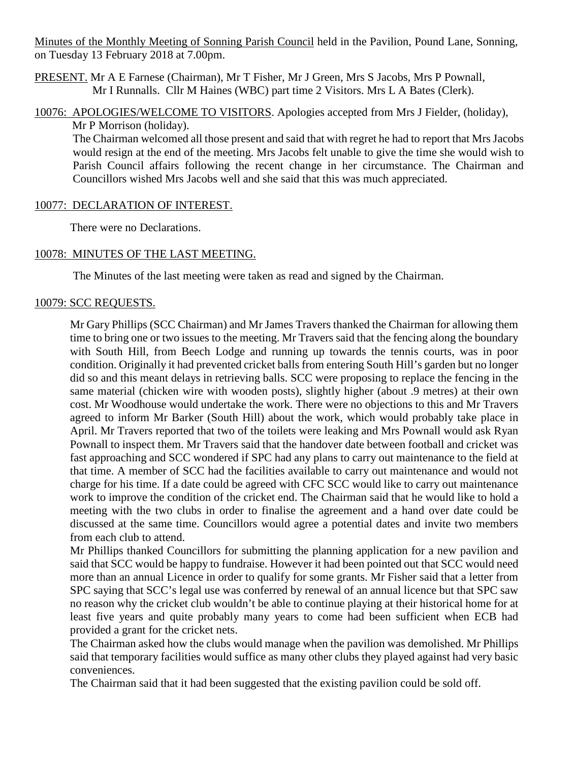Minutes of the Monthly Meeting of Sonning Parish Council held in the Pavilion, Pound Lane, Sonning, on Tuesday 13 February 2018 at 7.00pm.

PRESENT. Mr A E Farnese (Chairman), Mr T Fisher, Mr J Green, Mrs S Jacobs, Mrs P Pownall, Mr I Runnalls. Cllr M Haines (WBC) part time 2 Visitors. Mrs L A Bates (Clerk).

10076: APOLOGIES/WELCOME TO VISITORS. Apologies accepted from Mrs J Fielder, (holiday), Mr P Morrison (holiday).

The Chairman welcomed all those present and said that with regret he had to report that Mrs Jacobs would resign at the end of the meeting. Mrs Jacobs felt unable to give the time she would wish to Parish Council affairs following the recent change in her circumstance. The Chairman and Councillors wished Mrs Jacobs well and she said that this was much appreciated.

### 10077: DECLARATION OF INTEREST.

There were no Declarations.

## 10078: MINUTES OF THE LAST MEETING.

The Minutes of the last meeting were taken as read and signed by the Chairman.

### 10079: SCC REQUESTS.

Mr Gary Phillips (SCC Chairman) and Mr James Travers thanked the Chairman for allowing them time to bring one or two issues to the meeting. Mr Travers said that the fencing along the boundary with South Hill, from Beech Lodge and running up towards the tennis courts, was in poor condition. Originally it had prevented cricket balls from entering South Hill's garden but no longer did so and this meant delays in retrieving balls. SCC were proposing to replace the fencing in the same material (chicken wire with wooden posts), slightly higher (about .9 metres) at their own cost. Mr Woodhouse would undertake the work. There were no objections to this and Mr Travers agreed to inform Mr Barker (South Hill) about the work, which would probably take place in April. Mr Travers reported that two of the toilets were leaking and Mrs Pownall would ask Ryan Pownall to inspect them. Mr Travers said that the handover date between football and cricket was fast approaching and SCC wondered if SPC had any plans to carry out maintenance to the field at that time. A member of SCC had the facilities available to carry out maintenance and would not charge for his time. If a date could be agreed with CFC SCC would like to carry out maintenance work to improve the condition of the cricket end. The Chairman said that he would like to hold a meeting with the two clubs in order to finalise the agreement and a hand over date could be discussed at the same time. Councillors would agree a potential dates and invite two members from each club to attend.

Mr Phillips thanked Councillors for submitting the planning application for a new pavilion and said that SCC would be happy to fundraise. However it had been pointed out that SCC would need more than an annual Licence in order to qualify for some grants. Mr Fisher said that a letter from SPC saying that SCC's legal use was conferred by renewal of an annual licence but that SPC saw no reason why the cricket club wouldn't be able to continue playing at their historical home for at least five years and quite probably many years to come had been sufficient when ECB had provided a grant for the cricket nets.

The Chairman asked how the clubs would manage when the pavilion was demolished. Mr Phillips said that temporary facilities would suffice as many other clubs they played against had very basic conveniences.

The Chairman said that it had been suggested that the existing pavilion could be sold off.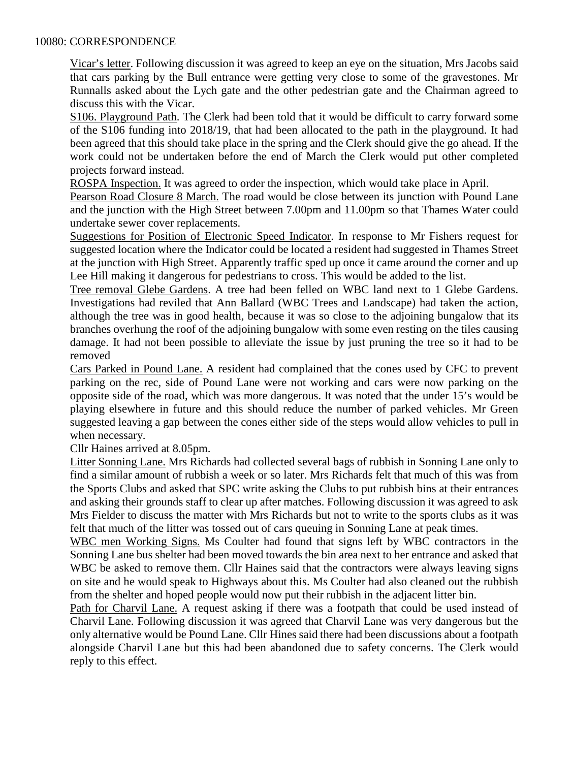## 10080: CORRESPONDENCE

Vicar's letter. Following discussion it was agreed to keep an eye on the situation, Mrs Jacobs said that cars parking by the Bull entrance were getting very close to some of the gravestones. Mr Runnalls asked about the Lych gate and the other pedestrian gate and the Chairman agreed to discuss this with the Vicar.

S106. Playground Path. The Clerk had been told that it would be difficult to carry forward some of the S106 funding into 2018/19, that had been allocated to the path in the playground. It had been agreed that this should take place in the spring and the Clerk should give the go ahead. If the work could not be undertaken before the end of March the Clerk would put other completed projects forward instead.

ROSPA Inspection. It was agreed to order the inspection, which would take place in April.

Pearson Road Closure 8 March. The road would be close between its junction with Pound Lane and the junction with the High Street between 7.00pm and 11.00pm so that Thames Water could undertake sewer cover replacements.

Suggestions for Position of Electronic Speed Indicator. In response to Mr Fishers request for suggested location where the Indicator could be located a resident had suggested in Thames Street at the junction with High Street. Apparently traffic sped up once it came around the corner and up Lee Hill making it dangerous for pedestrians to cross. This would be added to the list.

Tree removal Glebe Gardens. A tree had been felled on WBC land next to 1 Glebe Gardens. Investigations had reviled that Ann Ballard (WBC Trees and Landscape) had taken the action, although the tree was in good health, because it was so close to the adjoining bungalow that its branches overhung the roof of the adjoining bungalow with some even resting on the tiles causing damage. It had not been possible to alleviate the issue by just pruning the tree so it had to be removed

Cars Parked in Pound Lane. A resident had complained that the cones used by CFC to prevent parking on the rec, side of Pound Lane were not working and cars were now parking on the opposite side of the road, which was more dangerous. It was noted that the under 15's would be playing elsewhere in future and this should reduce the number of parked vehicles. Mr Green suggested leaving a gap between the cones either side of the steps would allow vehicles to pull in when necessary.

Cllr Haines arrived at 8.05pm.

Litter Sonning Lane. Mrs Richards had collected several bags of rubbish in Sonning Lane only to find a similar amount of rubbish a week or so later. Mrs Richards felt that much of this was from the Sports Clubs and asked that SPC write asking the Clubs to put rubbish bins at their entrances and asking their grounds staff to clear up after matches. Following discussion it was agreed to ask Mrs Fielder to discuss the matter with Mrs Richards but not to write to the sports clubs as it was felt that much of the litter was tossed out of cars queuing in Sonning Lane at peak times.

WBC men Working Signs. Ms Coulter had found that signs left by WBC contractors in the Sonning Lane bus shelter had been moved towards the bin area next to her entrance and asked that WBC be asked to remove them. Cllr Haines said that the contractors were always leaving signs on site and he would speak to Highways about this. Ms Coulter had also cleaned out the rubbish from the shelter and hoped people would now put their rubbish in the adjacent litter bin.

Path for Charvil Lane. A request asking if there was a footpath that could be used instead of Charvil Lane. Following discussion it was agreed that Charvil Lane was very dangerous but the only alternative would be Pound Lane. Cllr Hines said there had been discussions about a footpath alongside Charvil Lane but this had been abandoned due to safety concerns. The Clerk would reply to this effect.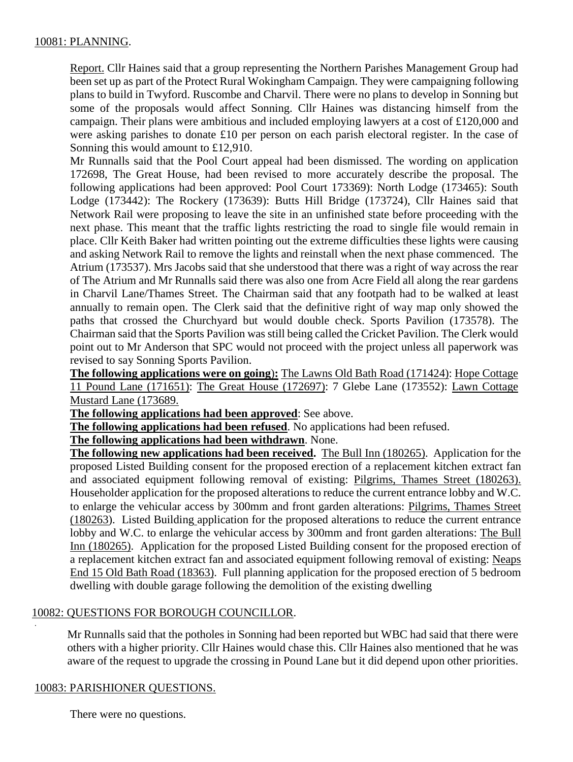## 10081: PLANNING.

Report. Cllr Haines said that a group representing the Northern Parishes Management Group had been set up as part of the Protect Rural Wokingham Campaign. They were campaigning following plans to build in Twyford. Ruscombe and Charvil. There were no plans to develop in Sonning but some of the proposals would affect Sonning. Cllr Haines was distancing himself from the campaign. Their plans were ambitious and included employing lawyers at a cost of £120,000 and were asking parishes to donate £10 per person on each parish electoral register. In the case of Sonning this would amount to £12,910.

Mr Runnalls said that the Pool Court appeal had been dismissed. The wording on application 172698, The Great House, had been revised to more accurately describe the proposal. The following applications had been approved: Pool Court 173369): North Lodge (173465): South Lodge (173442): The Rockery (173639): Butts Hill Bridge (173724), Cllr Haines said that Network Rail were proposing to leave the site in an unfinished state before proceeding with the next phase. This meant that the traffic lights restricting the road to single file would remain in place. Cllr Keith Baker had written pointing out the extreme difficulties these lights were causing and asking Network Rail to remove the lights and reinstall when the next phase commenced. The Atrium (173537). Mrs Jacobs said that she understood that there was a right of way across the rear of The Atrium and Mr Runnalls said there was also one from Acre Field all along the rear gardens in Charvil Lane/Thames Street. The Chairman said that any footpath had to be walked at least annually to remain open. The Clerk said that the definitive right of way map only showed the paths that crossed the Churchyard but would double check. Sports Pavilion (173578). The Chairman said that the Sports Pavilion was still being called the Cricket Pavilion. The Clerk would point out to Mr Anderson that SPC would not proceed with the project unless all paperwork was revised to say Sonning Sports Pavilion.

**The following applications were on going**)**:** The Lawns Old Bath Road (171424): Hope Cottage 11 Pound Lane (171651): The Great House (172697): 7 Glebe Lane (173552): Lawn Cottage Mustard Lane (173689.

**The following applications had been approved**: See above.

**The following applications had been refused**. No applications had been refused.

**The following applications had been withdrawn**. None.

**The following new applications had been received.** The Bull Inn (180265). Application for the proposed Listed Building consent for the proposed erection of a replacement kitchen extract fan and associated equipment following removal of existing: Pilgrims, Thames Street (180263). Householder application for the proposed alterations to reduce the current entrance lobby and W.C. to enlarge the vehicular access by 300mm and front garden alterations: Pilgrims, Thames Street (180263). Listed Building application for the proposed alterations to reduce the current entrance lobby and W.C. to enlarge the vehicular access by 300mm and front garden alterations: The Bull Inn (180265). Application for the proposed Listed Building consent for the proposed erection of a replacement kitchen extract fan and associated equipment following removal of existing: Neaps End 15 Old Bath Road (18363). Full planning application for the proposed erection of 5 bedroom dwelling with double garage following the demolition of the existing dwelling

## 10082: QUESTIONS FOR BOROUGH COUNCILLOR.

Mr Runnalls said that the potholes in Sonning had been reported but WBC had said that there were others with a higher priority. Cllr Haines would chase this. Cllr Haines also mentioned that he was aware of the request to upgrade the crossing in Pound Lane but it did depend upon other priorities.

## 10083: PARISHIONER QUESTIONS.

.

There were no questions.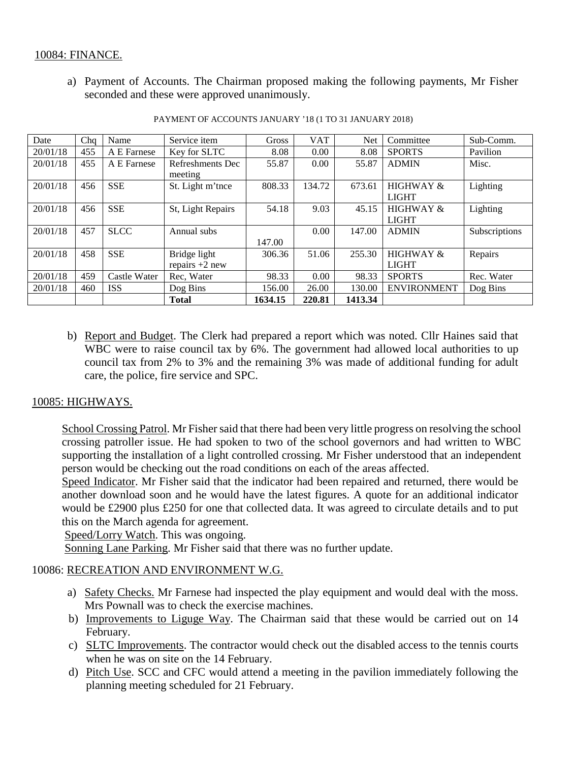## 10084: FINANCE.

a) Payment of Accounts. The Chairman proposed making the following payments, Mr Fisher seconded and these were approved unanimously.

| Date     | Cha | Name         | Service item      | Gross   | <b>VAT</b> | Net     | Committee            | Sub-Comm.     |
|----------|-----|--------------|-------------------|---------|------------|---------|----------------------|---------------|
| 20/01/18 | 455 | A E Farnese  | Key for SLTC      | 8.08    | 0.00       | 8.08    | <b>SPORTS</b>        | Pavilion      |
| 20/01/18 | 455 | A E Farnese  | Refreshments Dec  | 55.87   | 0.00       | 55.87   | <b>ADMIN</b>         | Misc.         |
|          |     |              | meeting           |         |            |         |                      |               |
| 20/01/18 | 456 | <b>SSE</b>   | St. Light m'tnce  | 808.33  | 134.72     | 673.61  | <b>HIGHWAY &amp;</b> | Lighting      |
|          |     |              |                   |         |            |         | <b>LIGHT</b>         |               |
| 20/01/18 | 456 | <b>SSE</b>   | St, Light Repairs | 54.18   | 9.03       | 45.15   | <b>HIGHWAY &amp;</b> | Lighting      |
|          |     |              |                   |         |            |         | <b>LIGHT</b>         |               |
| 20/01/18 | 457 | <b>SLCC</b>  | Annual subs       |         | 0.00       | 147.00  | <b>ADMIN</b>         | Subscriptions |
|          |     |              |                   | 147.00  |            |         |                      |               |
| 20/01/18 | 458 | <b>SSE</b>   | Bridge light      | 306.36  | 51.06      | 255.30  | <b>HIGHWAY &amp;</b> | Repairs       |
|          |     |              | repairs $+2$ new  |         |            |         | <b>LIGHT</b>         |               |
| 20/01/18 | 459 | Castle Water | Rec, Water        | 98.33   | 0.00       | 98.33   | <b>SPORTS</b>        | Rec. Water    |
| 20/01/18 | 460 | <b>ISS</b>   | Dog Bins          | 156.00  | 26.00      | 130.00  | <b>ENVIRONMENT</b>   | Dog Bins      |
|          |     |              | <b>Total</b>      | 1634.15 | 220.81     | 1413.34 |                      |               |

PAYMENT OF ACCOUNTS JANUARY '18 (1 TO 31 JANUARY 2018)

b) Report and Budget. The Clerk had prepared a report which was noted. Cllr Haines said that WBC were to raise council tax by 6%. The government had allowed local authorities to up council tax from 2% to 3% and the remaining 3% was made of additional funding for adult care, the police, fire service and SPC.

# 10085: HIGHWAYS.

School Crossing Patrol. Mr Fisher said that there had been very little progress on resolving the school crossing patroller issue. He had spoken to two of the school governors and had written to WBC supporting the installation of a light controlled crossing. Mr Fisher understood that an independent person would be checking out the road conditions on each of the areas affected.

Speed Indicator. Mr Fisher said that the indicator had been repaired and returned, there would be another download soon and he would have the latest figures. A quote for an additional indicator would be £2900 plus £250 for one that collected data. It was agreed to circulate details and to put this on the March agenda for agreement.

Speed/Lorry Watch. This was ongoing.

Sonning Lane Parking. Mr Fisher said that there was no further update.

## 10086: RECREATION AND ENVIRONMENT W.G.

- a) Safety Checks. Mr Farnese had inspected the play equipment and would deal with the moss. Mrs Pownall was to check the exercise machines.
- b) Improvements to Liguge Way. The Chairman said that these would be carried out on 14 February.
- c) SLTC Improvements. The contractor would check out the disabled access to the tennis courts when he was on site on the 14 February.
- d) Pitch Use. SCC and CFC would attend a meeting in the pavilion immediately following the planning meeting scheduled for 21 February.